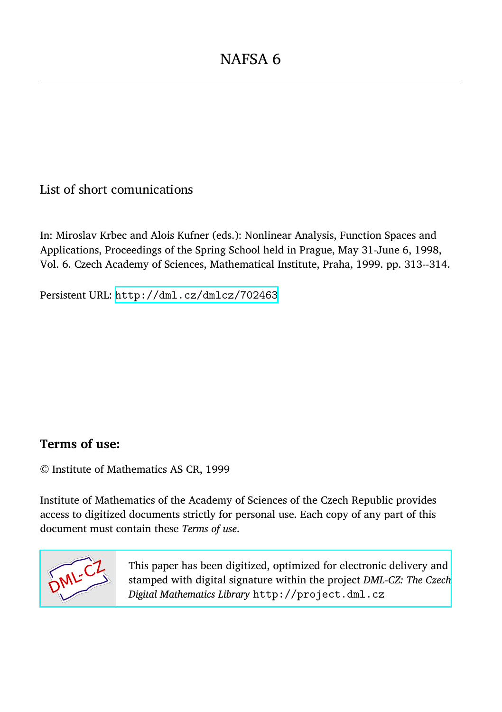List of short comunications

In: Miroslav Krbec and Alois Kufner (eds.): Nonlinear Analysis, Function Spaces and Applications, Proceedings of the Spring School held in Prague, May 31-June 6, 1998, Vol. 6. Czech Academy of Sciences, Mathematical Institute, Praha, 1999. pp. 313--314.

Persistent URL: <http://dml.cz/dmlcz/702463>

## **Terms of use:**

© Institute of Mathematics AS CR, 1999

Institute of Mathematics of the Academy of Sciences of the Czech Republic provides access to digitized documents strictly for personal use. Each copy of any part of this document must contain these *Terms of use*.



[This paper has been digitized, optimized for electronic delivery and](http://project.dml.cz) stamped with digital signature within the project *DML-CZ: The Czech Digital Mathematics Library* http://project.dml.cz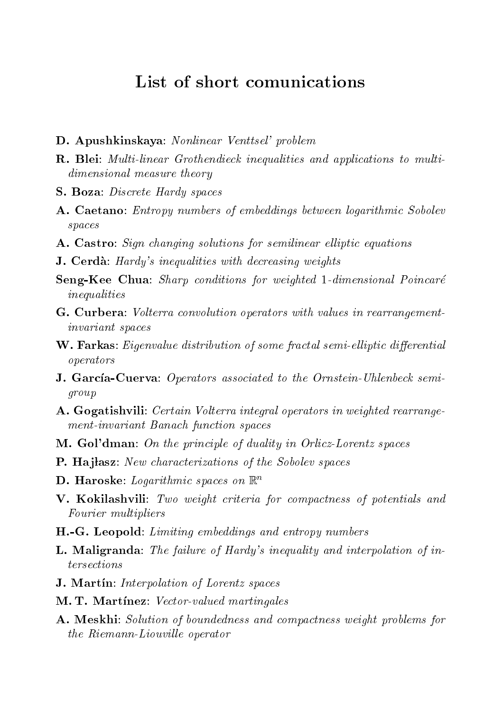## List of short comunications

- D. Apushkinskaya: Nonlinear Venttsel' problem
- R. Blei: Multi-linear Grothendieck inequalities and applications to multidimensional measure theory
- S. Boza: Discrete Hardy spaces
- A. Caetano: Entropy numbers of embeddings between logarithmic Sobolev spaces
- A. Castro: Sign changing solutions for semilinear elliptic equations
- **J. Cerdà**: Hardy's inequalities with decreasing weights
- Seng-Kee Chua: Sharp conditions for weighted 1-dimensional Poincare inequalities
- G. Curbera: Volterra convolution operators with values in rearrangementinvariant spaces
- W. Farkas: Eigenvalue distribution of some fractal semi-elliptic differential operators are a second contract to the contract of the contract of the contract of the contract of the contract of the contract of the contract of the contract of the contract of the contract of the contract of the contrac
- J. García-Cuerva: Operators associated to the Ornstein-Uhlenbeck semigroup
- A. Gogatishvili: Certain Volterra integral operators in weighted rearrangement-invariant Banach function spaces
- M. Gol'dman: On the principle of duality in Orlicz-Lorentz spaces
- **P. Hajlasz**: New characterizations of the Sobolev spaces
- **D. Haroske**: *Logarithmic spaces on*  $\mathbb{R}^n$
- V. Kokilashvili: Two weight criteria for compactness of potentials and Fourier multipliers
- H.-G. Leopold: Limiting embeddings and entropy numbers
- L. Maligranda: The failure of Hardy's inequality and interpolation of intersections
- **J. Martin**: Interpolation of Lorentz spaces
- **M. T. Martinez**: Vector-valued martingales
- A. Meskhi: Solution of boundedness and compactness weight problems for the Riemann-Liouville operator